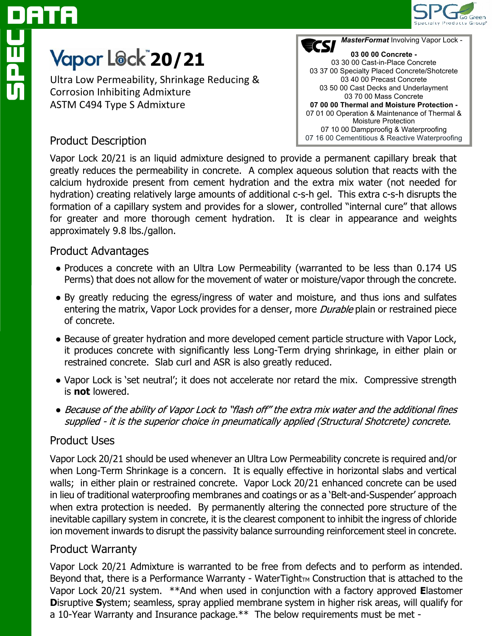

# <u>SPEC</u><br>Sep ATA

## **20/21**

Ultra Low Permeability, Shrinkage Reducing & Corrosion Inhibiting Admixture ASTM C494 Type S Admixture



### Product Description

Vapor Lock 20/21 is an liquid admixture designed to provide a permanent capillary break that greatly reduces the permeability in concrete. A complex aqueous solution that reacts with the calcium hydroxide present from cement hydration and the extra mix water (not needed for hydration) creating relatively large amounts of additional c-s-h gel. This extra c-s-h disrupts the formation of a capillary system and provides for a slower, controlled "internal cure" that allows for greater and more thorough cement hydration. It is clear in appearance and weights approximately 9.8 lbs./gallon.

### Product Advantages

- Produces a concrete with an Ultra Low Permeability (warranted to be less than 0.174 US Perms) that does not allow for the movement of water or moisture/vapor through the concrete.
- By greatly reducing the egress/ingress of water and moisture, and thus ions and sulfates entering the matrix, Vapor Lock provides for a denser, more *Durable* plain or restrained piece of concrete.
- Because of greater hydration and more developed cement particle structure with Vapor Lock, it produces concrete with significantly less Long-Term drying shrinkage, in either plain or restrained concrete. Slab curl and ASR is also greatly reduced.
- Vapor Lock is 'set neutral'; it does not accelerate nor retard the mix. Compressive strength is **not** lowered.
- Because of the ability of Vapor Lock to "flash off" the extra mix water and the additional fines supplied - it is the superior choice in pneumatically applied (Structural Shotcrete) concrete.

### Product Uses

Vapor Lock 20/21 should be used whenever an Ultra Low Permeability concrete is required and/or when Long-Term Shrinkage is a concern. It is equally effective in horizontal slabs and vertical walls; in either plain or restrained concrete. Vapor Lock 20/21 enhanced concrete can be used in lieu of traditional waterproofing membranes and coatings or as a 'Belt-and-Suspender' approach when extra protection is needed. By permanently altering the connected pore structure of the inevitable capillary system in concrete, it is the clearest component to inhibit the ingress of chloride ion movement inwards to disrupt the passivity balance surrounding reinforcement steel in concrete.

### Product Warranty

Vapor Lock 20/21 Admixture is warranted to be free from defects and to perform as intended. Beyond that, there is a Performance Warranty - WaterTight $T_M$  Construction that is attached to the Vapor Lock 20/21 system. \*\*And when used in conjunction with a factory approved **E**lastomer **D**isruptive **S**ystem; seamless, spray applied membrane system in higher risk areas, will qualify for a 10-Year Warranty and Insurance package.\*\* The below requirements must be met -